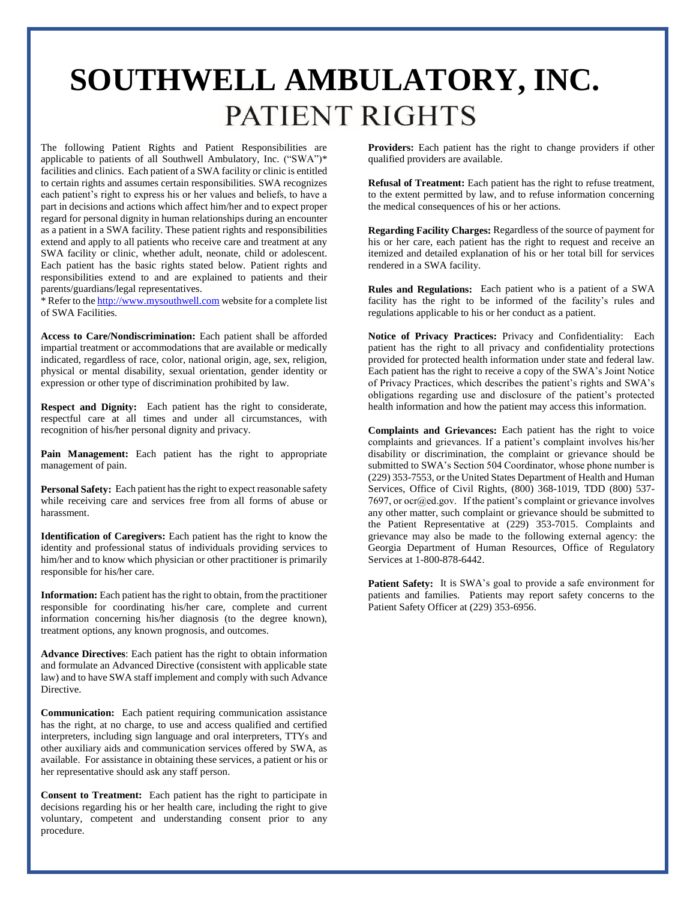## **SOUTHWELL AMBULATORY, INC.**PATIENT RIGHTS

The following Patient Rights and Patient Responsibilities are applicable to patients of all Southwell Ambulatory, Inc. ("SWA")\* facilities and clinics. Each patient of a SWA facility or clinic is entitled to certain rights and assumes certain responsibilities. SWA recognizes each patient's right to express his or her values and beliefs, to have a part in decisions and actions which affect him/her and to expect proper regard for personal dignity in human relationships during an encounter as a patient in a SWA facility. These patient rights and responsibilities extend and apply to all patients who receive care and treatment at any SWA facility or clinic, whether adult, neonate, child or adolescent. Each patient has the basic rights stated below. Patient rights and responsibilities extend to and are explained to patients and their parents/guardians/legal representatives.

\* Refer to th[e http://www.mysouthwell.com](http://www.mysouthwell.com/) website for a complete list of SWA Facilities.

**Access to Care/Nondiscrimination:** Each patient shall be afforded impartial treatment or accommodations that are available or medically indicated, regardless of race, color, national origin, age, sex, religion, physical or mental disability, sexual orientation, gender identity or expression or other type of discrimination prohibited by law.

**Respect and Dignity:** Each patient has the right to considerate, respectful care at all times and under all circumstances, with recognition of his/her personal dignity and privacy.

**Pain Management:** Each patient has the right to appropriate management of pain.

**Personal Safety:** Each patient has the right to expect reasonable safety while receiving care and services free from all forms of abuse or harassment.

**Identification of Caregivers:** Each patient has the right to know the identity and professional status of individuals providing services to him/her and to know which physician or other practitioner is primarily responsible for his/her care.

**Information:** Each patient has the right to obtain, from the practitioner responsible for coordinating his/her care, complete and current information concerning his/her diagnosis (to the degree known), treatment options, any known prognosis, and outcomes.

**Advance Directives**: Each patient has the right to obtain information and formulate an Advanced Directive (consistent with applicable state law) and to have SWA staff implement and comply with such Advance Directive.

**Communication:** Each patient requiring communication assistance has the right, at no charge, to use and access qualified and certified interpreters, including sign language and oral interpreters, TTYs and other auxiliary aids and communication services offered by SWA, as available. For assistance in obtaining these services, a patient or his or her representative should ask any staff person.

**Consent to Treatment:** Each patient has the right to participate in decisions regarding his or her health care, including the right to give voluntary, competent and understanding consent prior to any procedure.

**Providers:** Each patient has the right to change providers if other qualified providers are available.

**Refusal of Treatment:** Each patient has the right to refuse treatment, to the extent permitted by law, and to refuse information concerning the medical consequences of his or her actions.

**Regarding Facility Charges:** Regardless of the source of payment for his or her care, each patient has the right to request and receive an itemized and detailed explanation of his or her total bill for services rendered in a SWA facility.

**Rules and Regulations:** Each patient who is a patient of a SWA facility has the right to be informed of the facility's rules and regulations applicable to his or her conduct as a patient.

**Notice of Privacy Practices:** Privacy and Confidentiality: Each patient has the right to all privacy and confidentiality protections provided for protected health information under state and federal law. Each patient has the right to receive a copy of the SWA's Joint Notice of Privacy Practices, which describes the patient's rights and SWA's obligations regarding use and disclosure of the patient's protected health information and how the patient may access this information.

**Complaints and Grievances:** Each patient has the right to voice complaints and grievances. If a patient's complaint involves his/her disability or discrimination, the complaint or grievance should be submitted to SWA's Section 504 Coordinator, whose phone number is (229) 353-7553, or the United States Department of Health and Human Services, Office of Civil Rights, (800) 368-1019, TDD (800) 537- 7697, or ocr@ed.gov. If the patient's complaint or grievance involves any other matter, such complaint or grievance should be submitted to the Patient Representative at (229) 353-7015. Complaints and grievance may also be made to the following external agency: the Georgia Department of Human Resources, Office of Regulatory Services at 1-800-878-6442.

Patient Safety: It is SWA's goal to provide a safe environment for patients and families. Patients may report safety concerns to the Patient Safety Officer at (229) 353-6956.